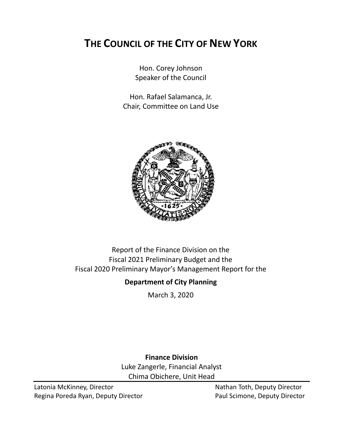# **THE COUNCIL OF THE CITY OF NEW YORK**

Hon. Corey Johnson Speaker of the Council

Hon. Rafael Salamanca, Jr. Chair, Committee on Land Use



### Report of the Finance Division on the Fiscal 2021 Preliminary Budget and the Fiscal 2020 Preliminary Mayor's Management Report for the

### **Department of City Planning**

March 3, 2020

**Finance Division** Luke Zangerle, Financial Analyst Chima Obichere, Unit Head

Latonia McKinney, Director Nathan Toth, Deputy Director Regina Poreda Ryan, Deputy Director **Paul Scimone, Deputy Director**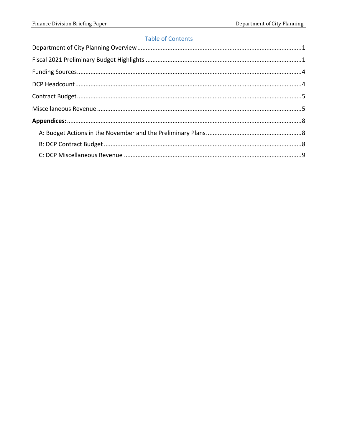### **Table of Contents**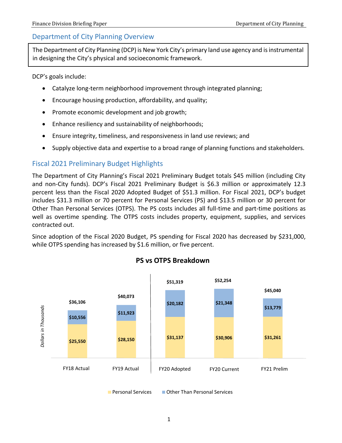### <span id="page-2-0"></span>Department of City Planning Overview

The Department of City Planning (DCP) is New York City's primary land use agency and is instrumental in designing the City's physical and socioeconomic framework.

DCP's goals include:

- Catalyze long-term neighborhood improvement through integrated planning;
- Encourage housing production, affordability, and quality;
- Promote economic development and job growth;
- Enhance resiliency and sustainability of neighborhoods;
- Ensure integrity, timeliness, and responsiveness in land use reviews; and
- Supply objective data and expertise to a broad range of planning functions and stakeholders.

### <span id="page-2-1"></span>Fiscal 2021 Preliminary Budget Highlights

The Department of City Planning's Fiscal 2021 Preliminary Budget totals \$45 million (including City and non-City funds). DCP's Fiscal 2021 Preliminary Budget is \$6.3 million or approximately 12.3 percent less than the Fiscal 2020 Adopted Budget of \$51.3 million. For Fiscal 2021, DCP's budget includes \$31.3 million or 70 percent for Personal Services (PS) and \$13.5 million or 30 percent for Other Than Personal Services (OTPS). The PS costs includes all full-time and part-time positions as well as overtime spending. The OTPS costs includes property, equipment, supplies, and services contracted out.

Since adoption of the Fiscal 2020 Budget, PS spending for Fiscal 2020 has decreased by \$231,000, while OTPS spending has increased by \$1.6 million, or five percent.



**PS vs OTPS Breakdown**

**Personal Services Publisher Than Personal Services**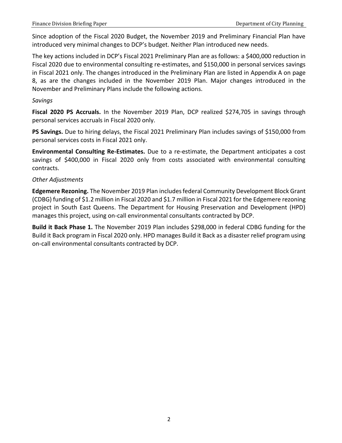Since adoption of the Fiscal 2020 Budget, the November 2019 and Preliminary Financial Plan have introduced very minimal changes to DCP's budget. Neither Plan introduced new needs.

The key actions included in DCP's Fiscal 2021 Preliminary Plan are as follows: a \$400,000 reduction in Fiscal 2020 due to environmental consulting re-estimates, and \$150,000 in personal services savings in Fiscal 2021 only. The changes introduced in the Preliminary Plan are listed in Appendix A on page 8, as are the changes included in the November 2019 Plan. Major changes introduced in the November and Preliminary Plans include the following actions.

#### *Savings*

**Fiscal 2020 PS Accruals.** In the November 2019 Plan, DCP realized \$274,705 in savings through personal services accruals in Fiscal 2020 only.

**PS Savings.** Due to hiring delays, the Fiscal 2021 Preliminary Plan includes savings of \$150,000 from personal services costs in Fiscal 2021 only.

**Environmental Consulting Re-Estimates.** Due to a re-estimate, the Department anticipates a cost savings of \$400,000 in Fiscal 2020 only from costs associated with environmental consulting contracts.

#### *Other Adjustments*

**Edgemere Rezoning.** The November 2019 Plan includesfederal Community Development Block Grant (CDBG) funding of \$1.2 million in Fiscal 2020 and \$1.7 million in Fiscal 2021 for the Edgemere rezoning project in South East Queens. The Department for Housing Preservation and Development (HPD) manages this project, using on-call environmental consultants contracted by DCP.

**Build it Back Phase 1.** The November 2019 Plan includes \$298,000 in federal CDBG funding for the Build it Back program in Fiscal 2020 only. HPD manages Build it Back as a disaster relief program using on-call environmental consultants contracted by DCP.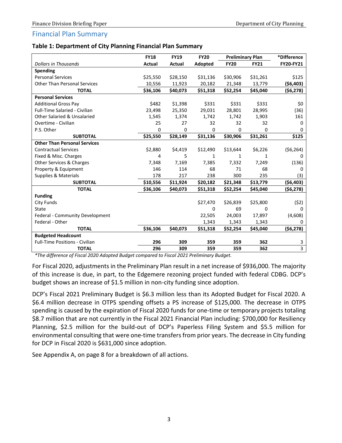#### Financial Plan Summary

| Table 1: Department of City Planning Financial Plan Summary |  |  |
|-------------------------------------------------------------|--|--|
|-------------------------------------------------------------|--|--|

|                                        | <b>FY18</b> | <b>FY19</b> | <b>FY20</b> | <b>Preliminary Plan</b> |             | *Difference    |
|----------------------------------------|-------------|-------------|-------------|-------------------------|-------------|----------------|
| <b>Dollars in Thousands</b>            | Actual      | Actual      | Adopted     | <b>FY20</b>             | <b>FY21</b> | FY20-FY21      |
| Spending                               |             |             |             |                         |             |                |
| <b>Personal Services</b>               | \$25,550    | \$28,150    | \$31,136    | \$30,906                | \$31,261    | \$125          |
| <b>Other Than Personal Services</b>    | 10,556      | 11,923      | 20,182      | 21,348                  | 13,779      | ( \$6,403)     |
| <b>TOTAL</b>                           | \$36,106    | \$40,073    | \$51,318    | \$52,254                | \$45,040    | ( \$6,278)     |
| <b>Personal Services</b>               |             |             |             |                         |             |                |
| <b>Additional Gross Pay</b>            | \$482       | \$1,398     | \$331       | \$331                   | \$331       | \$0            |
| <b>Full-Time Salaried - Civilian</b>   | 23,498      | 25,350      | 29,031      | 28,801                  | 28,995      | (36)           |
| <b>Other Salaried &amp; Unsalaried</b> | 1,545       | 1,374       | 1,742       | 1,742                   | 1,903       | 161            |
| Overtime - Civilian                    | 25          | 27          | 32          | 32                      | 32          | 0              |
| P.S. Other                             | 0           | 0           | 0           | 0                       | 0           | 0              |
| <b>SUBTOTAL</b>                        | \$25,550    | \$28,149    | \$31,136    | \$30,906                | \$31,261    | \$125          |
| <b>Other Than Personal Services</b>    |             |             |             |                         |             |                |
| <b>Contractual Services</b>            | \$2,880     | \$4,419     | \$12,490    | \$13,644                | \$6,226     | ( \$6,264)     |
| Fixed & Misc. Charges                  | 4           | 5           | 1           | 1                       | 1           | <sup>0</sup>   |
| Other Services & Charges               | 7,348       | 7,169       | 7,385       | 7,332                   | 7,249       | (136)          |
| Property & Equipment                   | 146         | 114         | 68          | 71                      | 68          | O              |
| Supplies & Materials                   | 178         | 217         | 238         | 300                     | 235         | (3)            |
| <b>SUBTOTAL</b>                        | \$10,556    | \$11,924    | \$20,182    | \$21,348                | \$13,779    | ( \$6,403)     |
| <b>TOTAL</b>                           | \$36,106    | \$40,073    | \$51,318    | \$52,254                | \$45,040    | (\$6,278)      |
| <b>Funding</b>                         |             |             |             |                         |             |                |
| <b>City Funds</b>                      |             |             | \$27,470    | \$26,839                | \$25,800    | (52)           |
| State                                  |             |             | 0           | 69                      | 0           | 0              |
| Federal - Community Development        |             |             | 22,505      | 24,003                  | 17,897      | (4,608)        |
| Federal - Other                        |             |             | 1,343       | 1,343                   | 1,343       | 0              |
| <b>TOTAL</b>                           | \$36,106    | \$40,073    | \$51,318    | \$52,254                | \$45,040    | ( \$6,278)     |
| <b>Budgeted Headcount</b>              |             |             |             |                         |             |                |
| <b>Full-Time Positions - Civilian</b>  | 296         | 309         | 359         | 359                     | 362         | 3              |
| <b>TOTAL</b>                           | 296         | 309         | 359         | 359                     | 362         | $\overline{3}$ |

*\*The difference of Fiscal 2020 Adopted Budget compared to Fiscal 2021 Preliminary Budget.*

For Fiscal 2020, adjustments in the Preliminary Plan result in a net increase of \$936,000. The majority of this increase is due, in part, to the Edgemere rezoning project funded with federal CDBG. DCP's budget shows an increase of \$1.5 million in non-city funding since adoption.

DCP's Fiscal 2021 Preliminary Budget is \$6.3 million less than its Adopted Budget for Fiscal 2020. A \$6.4 million decrease in OTPS spending offsets a PS increase of \$125,000. The decrease in OTPS spending is caused by the expiration of Fiscal 2020 funds for one-time or temporary projects totaling \$8.7 million that are not currently in the Fiscal 2021 Financial Plan including: \$700,000 for Resiliency Planning, \$2.5 million for the build-out of DCP's Paperless Filing System and \$5.5 million for environmental consulting that were one-time transfers from prior years. The decrease in City funding for DCP in Fiscal 2020 is \$631,000 since adoption.

See Appendix A, on page 8 for a breakdown of all actions.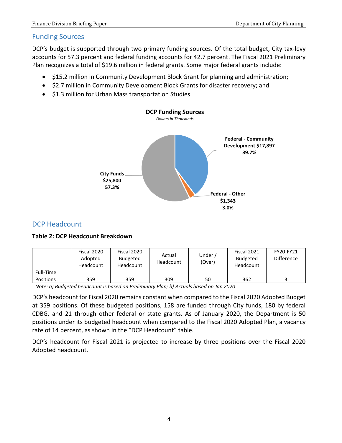### <span id="page-5-0"></span>Funding Sources

DCP's budget is supported through two primary funding sources. Of the total budget, City tax-levy accounts for 57.3 percent and federal funding accounts for 42.7 percent. The Fiscal 2021 Preliminary Plan recognizes a total of \$19.6 million in federal grants. Some major federal grants include:

- \$15.2 million in Community Development Block Grant for planning and administration;
- \$2.7 million in Community Development Block Grants for disaster recovery; and
- $\bullet$  \$1.3 million for Urban Mass transportation Studies.



### <span id="page-5-1"></span>DCP Headcount

#### **Table 2: DCP Headcount Breakdown**

|                  | Fiscal 2020<br>Adopted<br>Headcount | Fiscal 2020<br><b>Budgeted</b><br>Headcount | Actual<br>Headcount | Under,<br>(Over) | Fiscal 2021<br><b>Budgeted</b><br>Headcount | FY20-FY21<br><b>Difference</b> |
|------------------|-------------------------------------|---------------------------------------------|---------------------|------------------|---------------------------------------------|--------------------------------|
| Full-Time        |                                     |                                             |                     |                  |                                             |                                |
| <b>Positions</b> | 359                                 | 359                                         | 309                 | 50               | 362                                         |                                |

*Note: a) Budgeted headcount is based on Preliminary Plan; b) Actuals based on Jan 2020*

DCP's headcount for Fiscal 2020 remains constant when compared to the Fiscal 2020 Adopted Budget at 359 positions. Of these budgeted positions, 158 are funded through City funds, 180 by federal CDBG, and 21 through other federal or state grants. As of January 2020, the Department is 50 positions under its budgeted headcount when compared to the Fiscal 2020 Adopted Plan, a vacancy rate of 14 percent, as shown in the "DCP Headcount" table.

<span id="page-5-2"></span>DCP's headcount for Fiscal 2021 is projected to increase by three positions over the Fiscal 2020 Adopted headcount.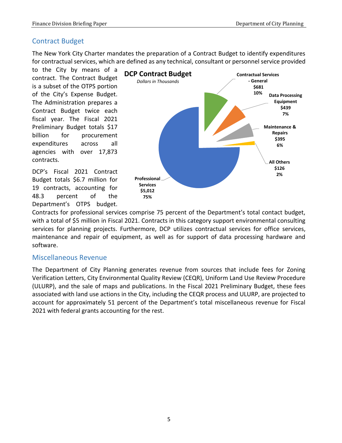### Contract Budget

The New York City Charter mandates the preparation of a Contract Budget to identify expenditures for contractual services, which are defined as any technical, consultant or personnel service provided

to the City by means of a contract. The Contract Budget is a subset of the OTPS portion of the City's Expense Budget. The Administration prepares a Contract Budget twice each fiscal year. The Fiscal 2021 Preliminary Budget totals \$17 billion for procurement expenditures across all agencies with over 17,873 contracts.

DCP's Fiscal 2021 Contract Budget totals \$6.7 million for 19 contracts, accounting for 48.3 percent of the Department's OTPS budget.



Contracts for professional services comprise 75 percent of the Department's total contact budget, with a total of \$5 million in Fiscal 2021. Contracts in this category support environmental consulting services for planning projects. Furthermore, DCP utilizes contractual services for office services, maintenance and repair of equipment, as well as for support of data processing hardware and software.

### <span id="page-6-0"></span>Miscellaneous Revenue

The Department of City Planning generates revenue from sources that include fees for Zoning Verification Letters, City Environmental Quality Review (CEQR), Uniform Land Use Review Procedure (ULURP), and the sale of maps and publications. In the Fiscal 2021 Preliminary Budget, these fees associated with land use actions in the City, including the CEQR process and ULURP, are projected to account for approximately 51 percent of the Department's total miscellaneous revenue for Fiscal 2021 with federal grants accounting for the rest.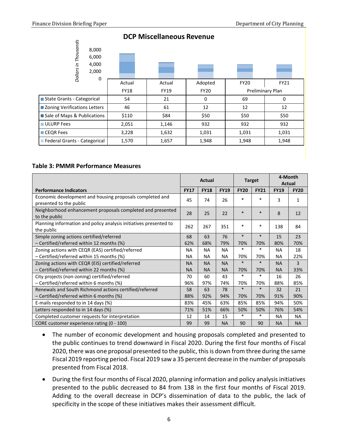

### **DCP Miscellaneous Revenue**

#### **Table 3: PMMR Performance Measures**

|                                                                                     | <b>Actual</b> |             | <b>Target</b> |             | 4-Month<br>Actual |             |             |
|-------------------------------------------------------------------------------------|---------------|-------------|---------------|-------------|-------------------|-------------|-------------|
| <b>Performance Indicators</b>                                                       | <b>FY17</b>   | <b>FY18</b> | <b>FY19</b>   | <b>FY20</b> | <b>FY21</b>       | <b>FY19</b> | <b>FY20</b> |
| Economic development and housing proposals completed and<br>presented to the public | 45            | 74          | 26            | $\ast$      | $\ast$            | 3           | 1           |
| Neighborhood enhancement proposals completed and presented<br>to the public         | 28            | 25          | 22            | $\ast$      | $\ast$            | 8           | 12          |
| Planning information and policy analysis initiatives presented to<br>the public     | 262           | 267         | 351           | $\ast$      | $\ast$            | 138         | 84          |
| Simple zoning actions certified/referred                                            | 68            | 63          | 76            | $\ast$      | $\ast$            | 15          | 23          |
| - Certified/referred within 12 months (%)                                           | 62%           | 68%         | 79%           | 70%         | 70%               | 80%         | 70%         |
| Zoning actions with CEQR (EAS) certified/referred                                   | <b>NA</b>     | <b>NA</b>   | <b>NA</b>     | $\ast$      | $\ast$            | <b>NA</b>   | 18          |
| - Certified/referred within 15 months (%)                                           | <b>NA</b>     | <b>NA</b>   | <b>NA</b>     | 70%         | 70%               | <b>NA</b>   | 22%         |
| Zoning actions with CEQR (EIS) certified/referred                                   | <b>NA</b>     | <b>NA</b>   | <b>NA</b>     | $\ast$      | $\ast$            | <b>NA</b>   | 3           |
| - Certified/referred within 22 months (%)                                           | <b>NA</b>     | <b>NA</b>   | <b>NA</b>     | 70%         | 70%               | <b>NA</b>   | 33%         |
| City projects (non-zoning) certified/referred                                       | 70            | 60          | 43            | $\ast$      | $\ast$            | 16          | 26          |
| - Certified/referred within 6 months (%)                                            | 96%           | 97%         | 74%           | 70%         | 70%               | 88%         | 85%         |
| Renewals and South Richmond actions certified/referred                              | 58            | 63          | 78            | $\ast$      | $\ast$            | 32          | 21          |
| $-$ Certified/referred within 6 months (%)                                          | 88%           | 92%         | 94%           | 70%         | 70%               | 91%         | 90%         |
| E-mails responded to in 14 days (%)                                                 | 83%           | 45%         | 63%           | 85%         | 85%               | 94%         | 50%         |
| Letters responded to in 14 days (%)                                                 | 71%           | 51%         | 66%           | 50%         | 50%               | 76%         | 54%         |
| Completed customer requests for interpretation                                      | 12            | 14          | 15            | $\ast$      | $\ast$            | <b>NA</b>   | <b>NA</b>   |
| CORE customer experience rating (0 - 100)                                           | 99            | 99          | <b>NA</b>     | 90          | 90                | <b>NA</b>   | <b>NA</b>   |

- The number of economic development and housing proposals completed and presented to the public continues to trend downward in Fiscal 2020. During the first four months of Fiscal 2020, there was one proposal presented to the public, this is down from three during the same Fiscal 2019 reporting period. Fiscal 2019 saw a 35 percent decrease in the number of proposals presented from Fiscal 2018.
- During the first four months of Fiscal 2020, planning information and policy analysis initiatives presented to the public decreased to 84 from 138 in the first four months of Fiscal 2019. Adding to the overall decrease in DCP's dissemination of data to the public, the lack of specificity in the scope of these initiatives makes their assessment difficult.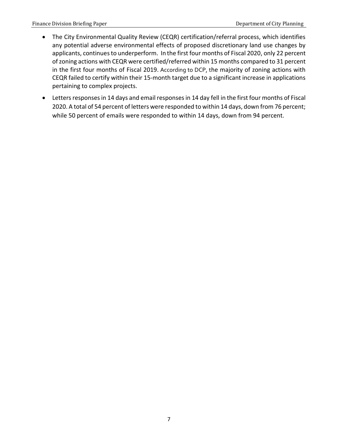- The City Environmental Quality Review (CEQR) certification/referral process, which identifies any potential adverse environmental effects of proposed discretionary land use changes by applicants, continues to underperform. In the first four months of Fiscal 2020, only 22 percent of zoning actions with CEQR were certified/referred within 15 months compared to 31 percent in the first four months of Fiscal 2019. According to DCP, the majority of zoning actions with CEQR failed to certify within their 15-month target due to a significant increase in applications pertaining to complex projects.
- Letters responses in 14 days and email responses in 14 day fell in the first four months of Fiscal 2020. A total of 54 percent of letters were responded to within 14 days, down from 76 percent; while 50 percent of emails were responded to within 14 days, down from 94 percent.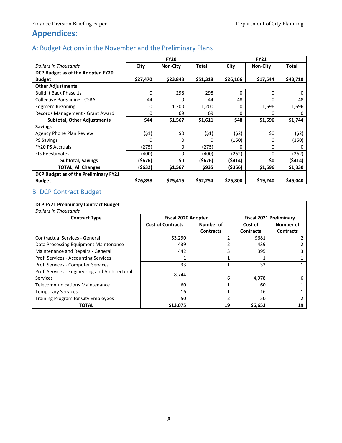# <span id="page-9-0"></span>**Appendices:**

### <span id="page-9-1"></span>A: Budget Actions in the November and the Preliminary Plans

|                                       | <b>FY20</b> |                 |          | <b>FY21</b> |                 |              |
|---------------------------------------|-------------|-----------------|----------|-------------|-----------------|--------------|
| <b>Dollars in Thousands</b>           | City        | <b>Non-City</b> | Total    | City        | <b>Non-City</b> | Total        |
| DCP Budget as of the Adopted FY20     |             |                 |          |             |                 |              |
| <b>Budget</b>                         | \$27,470    | \$23,848        | \$51,318 | \$26,166    | \$17,544        | \$43,710     |
| <b>Other Adjustments</b>              |             |                 |          |             |                 |              |
| <b>Build it Back Phase 1s</b>         | $\Omega$    | 298             | 298      | $\Omega$    | 0               | 0            |
| Collective Bargaining - CSBA          | 44          | 0               | 44       | 48          | 0               | 48           |
| <b>Edgmere Rezoning</b>               | $\Omega$    | 1,200           | 1,200    | 0           | 1,696           | 1,696        |
| Records Management - Grant Award      | 0           | 69              | 69       | $\Omega$    | 0               | 0            |
| <b>Subtotal, Other Adjustments</b>    | \$44        | \$1,567         | \$1,611  | \$48        | \$1,696         | \$1,744      |
| <b>Savings</b>                        |             |                 |          |             |                 |              |
| Agency Phone Plan Review              | (\$1)       | \$0             | (51)     | (52)        | \$0             | (\$2)        |
| <b>PS Savings</b>                     | 0           | 0               | 0        | (150)       | 0               | (150)        |
| <b>FY20 PS Accruals</b>               | (275)       | 0               | (275)    | O           | 0               | <sup>0</sup> |
| <b>EIS Reestimates</b>                | (400)       | 0               | (400)    | (262)       | 0               | (262)        |
| <b>Subtotal, Savings</b>              | (\$676)     | \$0             | (\$676)  | (\$414)     | \$0             | (\$414)      |
| <b>TOTAL, All Changes</b>             | (\$632)     | \$1,567         | \$935    | (\$366)     | \$1,696         | \$1,330      |
| DCP Budget as of the Preliminary FY21 |             |                 |          |             |                 |              |
| <b>Budget</b>                         | \$26,838    | \$25,415        | \$52,254 | \$25,800    | \$19,240        | \$45,040     |

### <span id="page-9-2"></span>B: DCP Contract Budget

## **DCP FY21 Preliminary Contract Budget**

<span id="page-9-3"></span>

| <b>Dollars in Thousands</b>                    |                                       |                  |                                |                  |  |
|------------------------------------------------|---------------------------------------|------------------|--------------------------------|------------------|--|
| <b>Contract Type</b>                           | <b>Fiscal 2020 Adopted</b>            |                  | <b>Fiscal 2021 Preliminary</b> |                  |  |
|                                                | <b>Cost of Contracts</b><br>Number of |                  | Cost of                        | Number of        |  |
|                                                |                                       | <b>Contracts</b> | <b>Contracts</b>               | <b>Contracts</b> |  |
| Contractual Services - General                 | \$3,290                               |                  | \$681                          |                  |  |
| Data Processing Equipment Maintenance          | 439                                   | $\mathfrak z$    | 439                            |                  |  |
| Maintenance and Repairs - General              | 442                                   | 3                | 395                            |                  |  |
| Prof. Services - Accounting Services           |                                       |                  |                                |                  |  |
| Prof. Services - Computer Services             | 33                                    |                  | 33                             |                  |  |
| Prof. Services - Engineering and Architectural | 8,744                                 |                  |                                |                  |  |
| <b>Services</b>                                |                                       | 6                | 4,978                          | 6                |  |
| <b>Telecommunications Maintenance</b>          | 60                                    |                  | 60                             |                  |  |
| <b>Temporary Services</b>                      | 16                                    |                  | 16                             |                  |  |
| Training Program for City Employees            | 50                                    | າ                | 50                             |                  |  |
| <b>TOTAL</b>                                   | \$13,075                              | 19               | \$6,653                        | 19               |  |